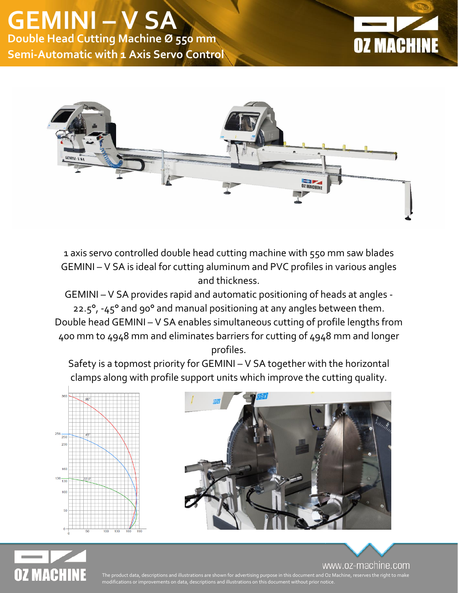



1 axis servo controlled double head cutting machine with 550 mm saw blades GEMINI – V SA is ideal for cutting aluminum and PVC profiles in various angles and thickness.

GEMINI – V SA provides rapid and automatic positioning of heads at angles - 22.5°, -45° and 90° and manual positioning at any angles between them. Double head GEMINI – V SA enables simultaneous cutting of profile lengths from 400 mm to 4948 mm and eliminates barriers for cutting of 4948 mm and longer profiles.

Safety is a topmost priority for GEMINI – V SA together with the horizontal clamps along with profile support units which improve the cutting quality.







www.oz-machine.com

The product data, descriptions and illustrations are shown for advertising purpose in this document and Oz Machine, reserves the right to make modifications or improvements on data, descriptions and illustrations on this document without prior notice.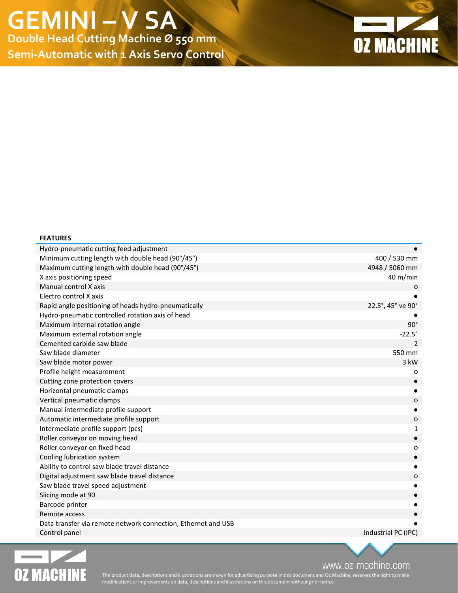**Semi-Automatic with 1 Axis Servo Control**



## Hydro-pneumatic cutting feed adjustment Minimum cutting length with double head (90°/45°) 400 / 530 mm Maximum cutting length with double head (90°/45°) 4948 / 5060 mm X axis positioning speed 40 m/min Manual control X axis ○ Electro control X axis Rapid angle positioning of heads hydro-pneumatically 22.5°, 45° ve 90° Hydro-pneumatic controlled rotation axis of head ● Maximum internal rotation angle 90° and 100 minutes are all the states of the states of the states of the states of the states of the states of the states of the states of the states of the states of the states of the stat Maximum external rotation angle  $-22.5^{\circ}$ Cemented carbide saw blade 2 Saw blade diameter 550 mm Saw blade motor power 3 kW Profile height measurement ○ Cutting zone protection covers ● Horizontal pneumatic clamps **●** Vertical pneumatic clamps ○ Manual intermediate profile support **●** Automatic intermediate profile support ○ Intermediate profile support (pcs) 1 and 1 and 2 and 2 and 2 and 2 and 2 and 2 and 2 and 2 and 2 and 2 and 2 and 2 and 2 and 2 and 2 and 2 and 2 and 2 and 2 and 2 and 2 and 2 and 2 and 2 and 2 and 2 and 2 and 2 and 2 and 2 Roller conveyor on moving head **●** Roller conveyor on fixed head ○ Cooling lubrication system ● Ability to control saw blade travel distance Digital adjustment saw blade travel distance ○ Saw blade travel speed adjustment Slicing mode at 90 Barcode printer Remote access  $\bullet$   $\bullet$ Data transfer via remote network connection, Ethernet and USB Control panel Industrial PC (IPC)



**FEATURES**

www.oz-machine.com

The product data, descriptions and illustrations are shown for advertising purpose in this document and Oz Machine, reserves the right to make modifications or improvements on data, descriptions and illustrations on this document without prior notice.